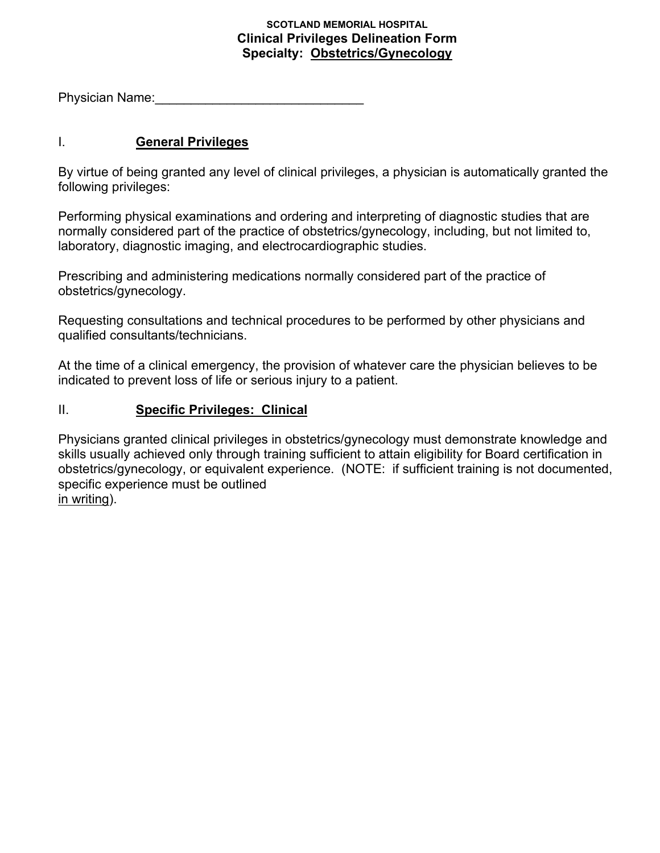#### **SCOTLAND MEMORIAL HOSPITAL Clinical Privileges Delineation Form Specialty: Obstetrics/Gynecology**

Physician Name:

### I. **General Privileges**

By virtue of being granted any level of clinical privileges, a physician is automatically granted the following privileges:

Performing physical examinations and ordering and interpreting of diagnostic studies that are normally considered part of the practice of obstetrics/gynecology, including, but not limited to, laboratory, diagnostic imaging, and electrocardiographic studies.

Prescribing and administering medications normally considered part of the practice of obstetrics/gynecology.

Requesting consultations and technical procedures to be performed by other physicians and qualified consultants/technicians.

At the time of a clinical emergency, the provision of whatever care the physician believes to be indicated to prevent loss of life or serious injury to a patient.

### II. **Specific Privileges: Clinical**

Physicians granted clinical privileges in obstetrics/gynecology must demonstrate knowledge and skills usually achieved only through training sufficient to attain eligibility for Board certification in obstetrics/gynecology, or equivalent experience. (NOTE: if sufficient training is not documented, specific experience must be outlined in writing).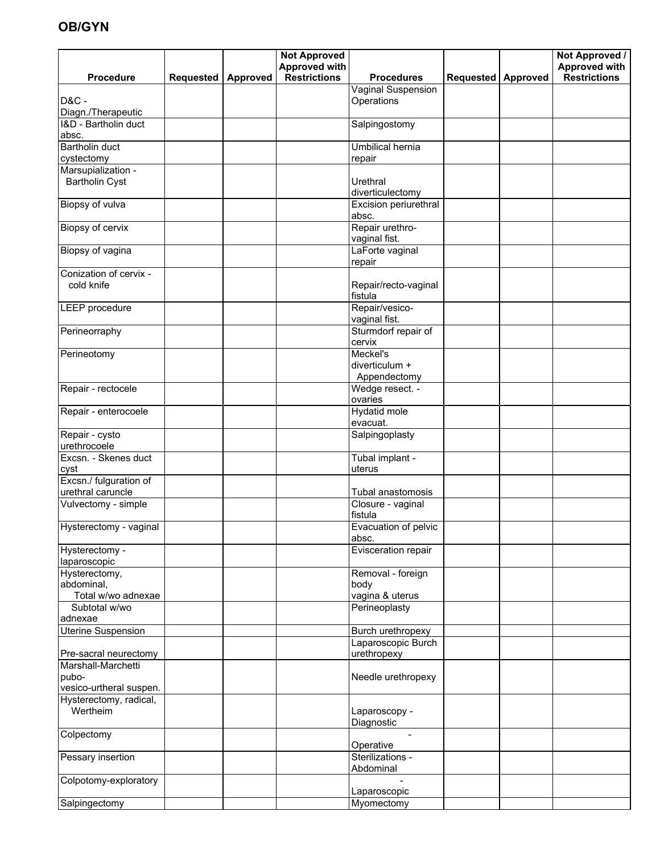# **OB/GYN**

|                                             |                      | <b>Not Approved</b>                  |                                            |                      | Not Approved /                              |
|---------------------------------------------|----------------------|--------------------------------------|--------------------------------------------|----------------------|---------------------------------------------|
| <b>Procedure</b>                            | Requested   Approved | <b>Approved with</b><br>Restrictions | <b>Procedures</b>                          | Requested   Approved | <b>Approved with</b><br><b>Restrictions</b> |
|                                             |                      |                                      | Vaginal Suspension                         |                      |                                             |
| <b>D&amp;C -</b><br>Diagn./Therapeutic      |                      |                                      | Operations                                 |                      |                                             |
| I&D - Bartholin duct<br>absc.               |                      |                                      | Salpingostomy                              |                      |                                             |
| Bartholin duct<br>cystectomy                |                      |                                      | Umbilical hernia<br>repair                 |                      |                                             |
| Marsupialization -                          |                      |                                      |                                            |                      |                                             |
| <b>Bartholin Cyst</b>                       |                      |                                      | Urethral<br>diverticulectomy               |                      |                                             |
| Biopsy of vulva                             |                      |                                      | Excision periurethral<br>absc.             |                      |                                             |
| Biopsy of cervix                            |                      |                                      | Repair urethro-<br>vaginal fist.           |                      |                                             |
| Biopsy of vagina                            |                      |                                      | LaForte vaginal<br>repair                  |                      |                                             |
| Conization of cervix -                      |                      |                                      |                                            |                      |                                             |
| cold knife                                  |                      |                                      | Repair/recto-vaginal<br>fistula            |                      |                                             |
| LEEP procedure                              |                      |                                      | Repair/vesico-<br>vaginal fist.            |                      |                                             |
| Perineorraphy                               |                      |                                      | Sturmdorf repair of<br>cervix              |                      |                                             |
| Perineotomy                                 |                      |                                      | Meckel's<br>diverticulum +<br>Appendectomy |                      |                                             |
| Repair - rectocele                          |                      |                                      | Wedge resect. -<br>ovaries                 |                      |                                             |
| Repair - enterocoele                        |                      |                                      | Hydatid mole<br>evacuat.                   |                      |                                             |
| Repair - cysto<br>urethrocoele              |                      |                                      | Salpingoplasty                             |                      |                                             |
| Excsn. - Skenes duct<br>cyst                |                      |                                      | Tubal implant -<br>uterus                  |                      |                                             |
| Excsn./ fulguration of<br>urethral caruncle |                      |                                      | Tubal anastomosis                          |                      |                                             |
| Vulvectomy - simple                         |                      |                                      | Closure - vaginal<br>fistula               |                      |                                             |
| Hysterectomy - vaginal                      |                      |                                      | Evacuation of pelvic<br>absc.              |                      |                                             |
| Hysterectomy -<br>laparoscopic              |                      |                                      | Evisceration repair                        |                      |                                             |
| Hysterectomy,                               |                      |                                      | Removal - foreign                          |                      |                                             |
| abdominal,                                  |                      |                                      | body                                       |                      |                                             |
| Total w/wo adnexae                          |                      |                                      | vagina & uterus                            |                      |                                             |
| Subtotal w/wo<br>adnexae                    |                      |                                      | Perineoplasty                              |                      |                                             |
| Uterine Suspension                          |                      |                                      | Burch urethropexy                          |                      |                                             |
|                                             |                      |                                      | Laparoscopic Burch                         |                      |                                             |
| Pre-sacral neurectomy                       |                      |                                      | urethropexy                                |                      |                                             |
| Marshall-Marchetti                          |                      |                                      |                                            |                      |                                             |
| pubo-<br>vesico-urtheral suspen.            |                      |                                      | Needle urethropexy                         |                      |                                             |
| Hysterectomy, radical,                      |                      |                                      |                                            |                      |                                             |
| Wertheim                                    |                      |                                      | Laparoscopy -<br>Diagnostic                |                      |                                             |
| Colpectomy                                  |                      |                                      | Operative                                  |                      |                                             |
| Pessary insertion                           |                      |                                      | Sterilizations -<br>Abdominal              |                      |                                             |
| Colpotomy-exploratory                       |                      |                                      | Laparoscopic                               |                      |                                             |
| Salpingectomy                               |                      |                                      | Myomectomy                                 |                      |                                             |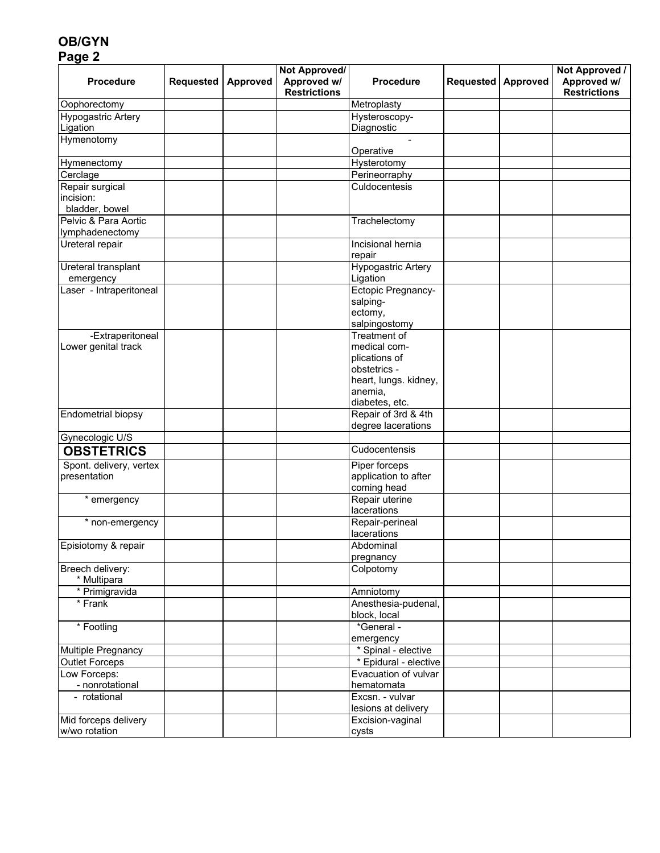## **OB/GYN Page 2**

| <b>Procedure</b>                      | <b>Requested</b> | <b>Approved</b> | Not Approved/<br>Approved w/<br><b>Restrictions</b> | <b>Procedure</b>              | <b>Requested</b> | Approved | Not Approved /<br>Approved w/<br><b>Restrictions</b> |
|---------------------------------------|------------------|-----------------|-----------------------------------------------------|-------------------------------|------------------|----------|------------------------------------------------------|
| Oophorectomy                          |                  |                 |                                                     | Metroplasty                   |                  |          |                                                      |
| Hypogastric Artery                    |                  |                 |                                                     | Hysteroscopy-                 |                  |          |                                                      |
| Ligation                              |                  |                 |                                                     | Diagnostic                    |                  |          |                                                      |
| Hymenotomy                            |                  |                 |                                                     |                               |                  |          |                                                      |
|                                       |                  |                 |                                                     | Operative                     |                  |          |                                                      |
| Hymenectomy                           |                  |                 |                                                     | Hysterotomy                   |                  |          |                                                      |
| Cerclage                              |                  |                 |                                                     | Perineorraphy                 |                  |          |                                                      |
| Repair surgical                       |                  |                 |                                                     | Culdocentesis                 |                  |          |                                                      |
| incision:                             |                  |                 |                                                     |                               |                  |          |                                                      |
| bladder, bowel                        |                  |                 |                                                     |                               |                  |          |                                                      |
| Pelvic & Para Aortic                  |                  |                 |                                                     | Trachelectomy                 |                  |          |                                                      |
| lymphadenectomy                       |                  |                 |                                                     |                               |                  |          |                                                      |
| Ureteral repair                       |                  |                 |                                                     | Incisional hernia<br>repair   |                  |          |                                                      |
| Ureteral transplant                   |                  |                 |                                                     | <b>Hypogastric Artery</b>     |                  |          |                                                      |
| emergency                             |                  |                 |                                                     | Ligation                      |                  |          |                                                      |
| Laser - Intraperitoneal               |                  |                 |                                                     | Ectopic Pregnancy-            |                  |          |                                                      |
|                                       |                  |                 |                                                     | salping-                      |                  |          |                                                      |
|                                       |                  |                 |                                                     | ectomy,                       |                  |          |                                                      |
|                                       |                  |                 |                                                     | salpingostomy                 |                  |          |                                                      |
| -Extraperitoneal                      |                  |                 |                                                     | Treatment of                  |                  |          |                                                      |
| Lower genital track                   |                  |                 |                                                     | medical com-                  |                  |          |                                                      |
|                                       |                  |                 |                                                     | plications of<br>obstetrics - |                  |          |                                                      |
|                                       |                  |                 |                                                     | heart, lungs. kidney,         |                  |          |                                                      |
|                                       |                  |                 |                                                     | anemia,                       |                  |          |                                                      |
|                                       |                  |                 |                                                     | diabetes, etc.                |                  |          |                                                      |
| Endometrial biopsy                    |                  |                 |                                                     | Repair of 3rd & 4th           |                  |          |                                                      |
|                                       |                  |                 |                                                     | degree lacerations            |                  |          |                                                      |
| Gynecologic U/S                       |                  |                 |                                                     |                               |                  |          |                                                      |
| <b>OBSTETRICS</b>                     |                  |                 |                                                     | Cudocentensis                 |                  |          |                                                      |
| Spont. delivery, vertex               |                  |                 |                                                     | Piper forceps                 |                  |          |                                                      |
| presentation                          |                  |                 |                                                     | application to after          |                  |          |                                                      |
|                                       |                  |                 |                                                     | coming head                   |                  |          |                                                      |
| * emergency                           |                  |                 |                                                     | Repair uterine                |                  |          |                                                      |
|                                       |                  |                 |                                                     | lacerations                   |                  |          |                                                      |
| * non-emergency                       |                  |                 |                                                     | Repair-perineal               |                  |          |                                                      |
|                                       |                  |                 |                                                     | lacerations                   |                  |          |                                                      |
| Episiotomy & repair                   |                  |                 |                                                     | Abdominal                     |                  |          |                                                      |
|                                       |                  |                 |                                                     | pregnancy                     |                  |          |                                                      |
| Breech delivery:                      |                  |                 |                                                     | Colpotomy                     |                  |          |                                                      |
| * Multipara                           |                  |                 |                                                     |                               |                  |          |                                                      |
| * Primigravida                        |                  |                 |                                                     | Amniotomy                     |                  |          |                                                      |
| * Frank                               |                  |                 |                                                     | Anesthesia-pudenal,           |                  |          |                                                      |
|                                       |                  |                 |                                                     | block, local                  |                  |          |                                                      |
| * Footling                            |                  |                 |                                                     | *General -                    |                  |          |                                                      |
|                                       |                  |                 |                                                     | emergency                     |                  |          |                                                      |
| Multiple Pregnancy                    |                  |                 |                                                     | * Spinal - elective           |                  |          |                                                      |
| <b>Outlet Forceps</b>                 |                  |                 |                                                     | * Epidural - elective         |                  |          |                                                      |
| Low Forceps:                          |                  |                 |                                                     | Evacuation of vulvar          |                  |          |                                                      |
| - nonrotational                       |                  |                 |                                                     | hematomata                    |                  |          |                                                      |
| - rotational                          |                  |                 |                                                     | Excsn. - vulvar               |                  |          |                                                      |
|                                       |                  |                 |                                                     | lesions at delivery           |                  |          |                                                      |
| Mid forceps delivery<br>w/wo rotation |                  |                 |                                                     | Excision-vaginal<br>cysts     |                  |          |                                                      |
|                                       |                  |                 |                                                     |                               |                  |          |                                                      |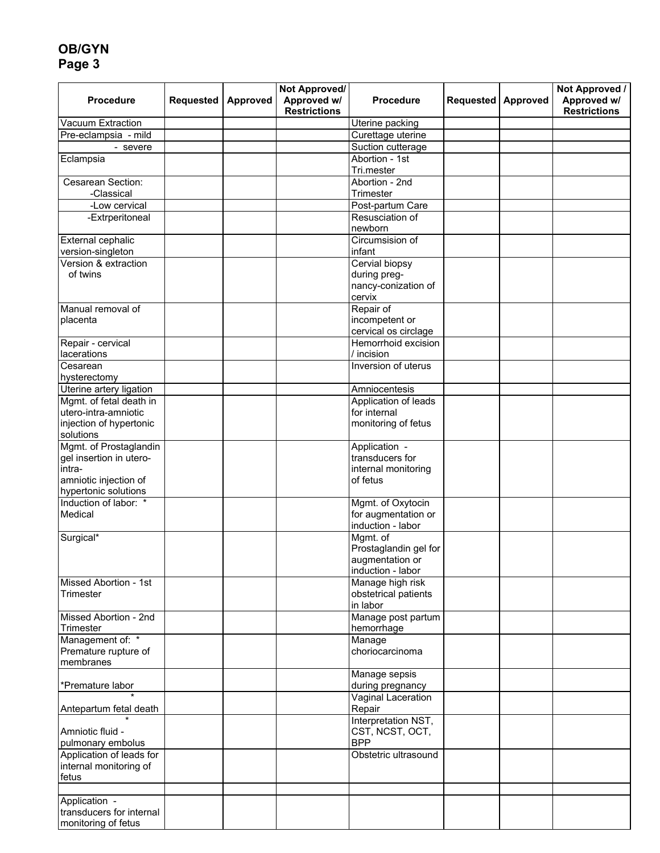## **OB/GYN Page 3**

| <b>Procedure</b>                                  | Requested | Approved | Not Approved/<br>Approved w/<br><b>Restrictions</b> | <b>Procedure</b>                 | <b>Requested</b> | Approved | Not Approved /<br>Approved w/<br><b>Restrictions</b> |
|---------------------------------------------------|-----------|----------|-----------------------------------------------------|----------------------------------|------------------|----------|------------------------------------------------------|
| Vacuum Extraction                                 |           |          |                                                     | Uterine packing                  |                  |          |                                                      |
| Pre-eclampsia - mild                              |           |          |                                                     | Curettage uterine                |                  |          |                                                      |
| - severe                                          |           |          |                                                     | Suction cutterage                |                  |          |                                                      |
| Eclampsia                                         |           |          |                                                     | Abortion - 1st<br>Tri.mester     |                  |          |                                                      |
| Cesarean Section:                                 |           |          |                                                     | Abortion - 2nd                   |                  |          |                                                      |
| -Classical                                        |           |          |                                                     | Trimester                        |                  |          |                                                      |
| -Low cervical                                     |           |          |                                                     | Post-partum Care                 |                  |          |                                                      |
| -Extrperitoneal                                   |           |          |                                                     | Resusciation of<br>newborn       |                  |          |                                                      |
| External cephalic                                 |           |          |                                                     | Circumsision of                  |                  |          |                                                      |
| version-singleton                                 |           |          |                                                     | infant                           |                  |          |                                                      |
| Version & extraction                              |           |          |                                                     | Cervial biopsy                   |                  |          |                                                      |
| of twins                                          |           |          |                                                     | during preg-                     |                  |          |                                                      |
|                                                   |           |          |                                                     | nancy-conization of              |                  |          |                                                      |
|                                                   |           |          |                                                     | cervix                           |                  |          |                                                      |
| Manual removal of                                 |           |          |                                                     | Repair of                        |                  |          |                                                      |
| placenta                                          |           |          |                                                     | incompetent or                   |                  |          |                                                      |
|                                                   |           |          |                                                     | cervical os circlage             |                  |          |                                                      |
| Repair - cervical                                 |           |          |                                                     | Hemorrhoid excision              |                  |          |                                                      |
| lacerations                                       |           |          |                                                     | / incision                       |                  |          |                                                      |
| Cesarean                                          |           |          |                                                     | Inversion of uterus              |                  |          |                                                      |
| hysterectomy                                      |           |          |                                                     |                                  |                  |          |                                                      |
| Uterine artery ligation                           |           |          |                                                     | Amniocentesis                    |                  |          |                                                      |
| Mgmt. of fetal death in                           |           |          |                                                     | Application of leads             |                  |          |                                                      |
| utero-intra-amniotic                              |           |          |                                                     | for internal                     |                  |          |                                                      |
| injection of hypertonic                           |           |          |                                                     | monitoring of fetus              |                  |          |                                                      |
| solutions                                         |           |          |                                                     |                                  |                  |          |                                                      |
| Mgmt. of Prostaglandin<br>gel insertion in utero- |           |          |                                                     | Application -<br>transducers for |                  |          |                                                      |
| intra-                                            |           |          |                                                     | internal monitoring              |                  |          |                                                      |
| amniotic injection of                             |           |          |                                                     | of fetus                         |                  |          |                                                      |
| hypertonic solutions                              |           |          |                                                     |                                  |                  |          |                                                      |
| Induction of labor: *                             |           |          |                                                     | Mgmt. of Oxytocin                |                  |          |                                                      |
| Medical                                           |           |          |                                                     | for augmentation or              |                  |          |                                                      |
|                                                   |           |          |                                                     | induction - labor                |                  |          |                                                      |
| Surgical*                                         |           |          |                                                     | Mgmt. of                         |                  |          |                                                      |
|                                                   |           |          |                                                     | Prostaglandin gel for            |                  |          |                                                      |
|                                                   |           |          |                                                     | augmentation or                  |                  |          |                                                      |
|                                                   |           |          |                                                     | induction - labor                |                  |          |                                                      |
| Missed Abortion - 1st                             |           |          |                                                     | Manage high risk                 |                  |          |                                                      |
| Trimester                                         |           |          |                                                     | obstetrical patients             |                  |          |                                                      |
|                                                   |           |          |                                                     | in labor                         |                  |          |                                                      |
| Missed Abortion - 2nd<br>Trimester                |           |          |                                                     | Manage post partum<br>hemorrhage |                  |          |                                                      |
| Management of: *                                  |           |          |                                                     | Manage                           |                  |          |                                                      |
| Premature rupture of                              |           |          |                                                     | choriocarcinoma                  |                  |          |                                                      |
| membranes                                         |           |          |                                                     |                                  |                  |          |                                                      |
|                                                   |           |          |                                                     | Manage sepsis                    |                  |          |                                                      |
| *Premature labor                                  |           |          |                                                     | during pregnancy                 |                  |          |                                                      |
| Antepartum fetal death                            |           |          |                                                     | Vaginal Laceration<br>Repair     |                  |          |                                                      |
|                                                   |           |          |                                                     | Interpretation NST,              |                  |          |                                                      |
| Amniotic fluid -                                  |           |          |                                                     | CST, NCST, OCT,                  |                  |          |                                                      |
| pulmonary embolus                                 |           |          |                                                     | <b>BPP</b>                       |                  |          |                                                      |
| Application of leads for                          |           |          |                                                     | Obstetric ultrasound             |                  |          |                                                      |
| internal monitoring of                            |           |          |                                                     |                                  |                  |          |                                                      |
| fetus                                             |           |          |                                                     |                                  |                  |          |                                                      |
|                                                   |           |          |                                                     |                                  |                  |          |                                                      |
| Application -<br>transducers for internal         |           |          |                                                     |                                  |                  |          |                                                      |
| monitoring of fetus                               |           |          |                                                     |                                  |                  |          |                                                      |
|                                                   |           |          |                                                     |                                  |                  |          |                                                      |